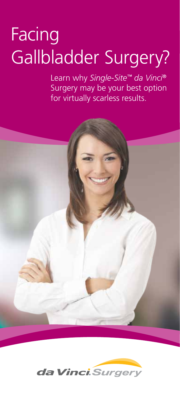# **Facing** Gallbladder Surgery?

Learn why *Single-Site™ da Vinci®* Surgery may be your best option for virtually scarless results.



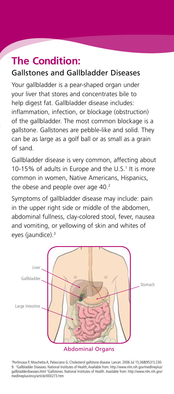### **The Condition:** Gallstones and Gallbladder Diseases

Your gallbladder is a pear-shaped organ under your liver that stores and concentrates bile to help digest fat. Gallbladder disease includes: inflammation, infection, or blockage (obstruction) of the gallbladder. The most common blockage is a gallstone. Gallstones are pebble-like and solid. They can be as large as a golf ball or as small as a grain of sand.

Gallbladder disease is very common, affecting about 10-15% of adults in Europe and the U.S.<sup>1</sup> It is more common in women, Native Americans, Hispanics, the obese and people over age 40.<sup>2</sup>

Symptoms of gallbladder disease may include: pain in the upper right side or middle of the abdomen, abdominal fullness, clay-colored stool, fever, nausea and vomiting, or yellowing of skin and whites of eyes (jaundice).<sup>3</sup>



1 Portincasa P, Moschetta A, Palasciano G. Cholesterol gallstone disease. Lancet. 2006 Jul 15;368(9531):230- 9. 2 Gallbladder Diseases. National Institutes of Health, Available from: http://www.nlm.nih.gov/medlineplus/ gallbladderdiseases.html <sup>3</sup>Gallstones. National Institutes of Health. Available from: http://www.nlm.nih.gov/ medlineplus/ency/article/000273.htm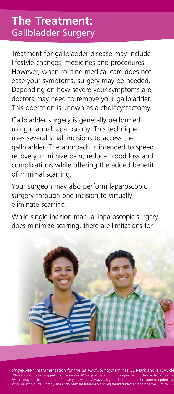## **The Treatment:**  Gallbladder Surgery

Treatment for gallbladder disease may include lifestyle changes, medicines and procedures. However, when routine medical care does not ease your symptoms, surgery may be needed. Depending on how severe your symptoms are, doctors may need to remove your gallbladder. This operation is known as a cholecystectomy.

Gallbladder surgery is generally performed using manual laparoscopy. This technique uses several small incisions to access the gallbladder. The approach is intended to speed recovery, minimize pain, reduce blood loss and complications while offering the added benefit of minimal scarring.

Your surgeon may also perform laparoscopic surgery through one incision to virtually eliminate scarring.

While single-incision manual laparoscopic surgery does minimize scarring, there are limitations for



Single-Site<sup>ns</sup> Instrumentation for the *da Vinci*® Si<sup>ns</sup> System has CE Mark and is FDA cle<br>While clinical studies suggest that the da Vinci® Surgical System using Single-Site™ Instrumentation is an et System may not be appropriate for every individual. Always ask your doctor about all treatment options, as<br>*Vinci, da Vinci S, da Vinci Si, and EndoWrist* are trademarks or registered trademarks of Intuitive Surgical. PN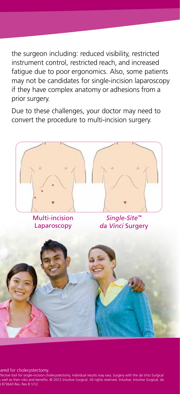the surgeon including: reduced visibility, restricted instrument control, restricted reach, and increased fatigue due to poor ergonomics. Also, some patients may not be candidates for single-incision laparoscopy if they have complex anatomy or adhesions from a prior surgery.

Due to these challenges, your doctor may need to convert the procedure to multi-incision surgery.



*Single-Simular instrumental for cholecystectomy.* 

Mective tool for single-incision cholecystectomy, individual results may vary. Surgery with the *da Vinci* Surgical well as their risks and benefits. © 2012 Intuitive Surgical. All rights reserved. Intuitive, Intuitive Surgical, da Vinci S, da Vinci Sarata Barata Si, and Endowritive Surgical Surgical Surgical Surgical Surgical Surgical Surg<br>Bigger Surgical Surgical Surgical Surgical Surgical Surgical Surgical Surgical Surgical Surgical Surgical Surg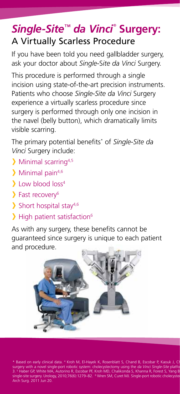# *Single-Site™ da Vinci ®*  **Surgery:**  A Virtually Scarless Procedure

If you have been told you need gallbladder surgery, ask your doctor about *Single-*S*ite da Vinci* Surgery.

This procedure is performed through a single incision using state-of-the-art precision instruments. Patients who choose *Single-Site da Vinci* Surgery experience a virtually scarless procedure since surgery is performed through only one incision in the navel (belly button), which dramatically limits visible scarring.

The primary potential benefits\* of *Single-Site da Vinci* Surgery include:

- > Minimal scarring<sup>4,5</sup>
- $\sum$  Minimal pain<sup>4,6</sup>
- Low blood loss<sup>4</sup>
- Fast recovery6
- $\sum$  Short hospital stay<sup>4,6</sup>
- > High patient satisfaction<sup>6</sup>

As with any surgery, these benefits cannot be guaranteed since surgery is unique to each patient and procedure.



\* Based on early clinical data. <sup>4</sup> Kroh M, El-Hayek K, Rosenblatt S, Chand B, Escobar P, Kaouk J, Ch<br>surgery with a novel single-port robotic system: cholecystectomy using the *da Vinci Single-Site* platfo<br>3. <sup>s</sup> Haber GP Arch Surg. 2011 Jun 20.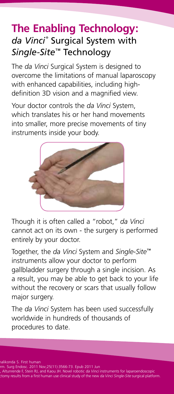## **The Enabling Technology:** da *Vinci*® Surgical System with *Single-Site*™ Technology

The *da Vinci* Surgical System is designed to overcome the limitations of manual laparoscopy with enhanced capabilities, including highdefinition 3D vision and a magnified view.

Your doctor controls the *da Vinci* System, which translates his or her hand movements into smaller, more precise movements of tiny instruments inside your body.



Though it is often called a "robot," *da Vinci*  cannot act on its own - the surgery is performed entirely by your doctor.

Together, the *da Vinci* System and *Single-Site™* instruments allow your doctor to perform gallbladder surgery through a single incision. As a result, you may be able to get back to your life without the recovery or scars that usually follow major surgery.

The *da Vinci* System has been used successfully worldwide in hundreds of thousands of procedures to date.